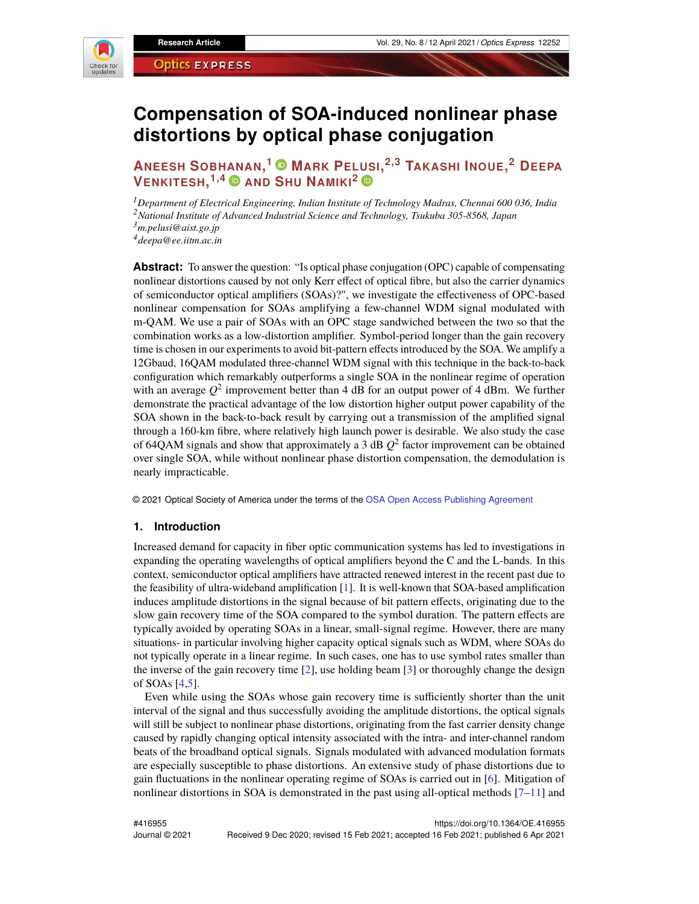

# **Compensation of SOA-induced nonlinear phase distortions by optical phase conjugation**

## **ANEESH SOBHANAN, <sup>1</sup> MARK PELUSI, 2,3 TAKASHI INOUE, <sup>2</sup> DEEPA VENKITESH, 1,4 AND SHU NAMIKI<sup>2</sup>**

*<sup>1</sup>Department of Electrical Engineering, Indian Institute of Technology Madras, Chennai 600 036, India <sup>2</sup>National Institute of Advanced Industrial Science and Technology, Tsukuba 305-8568, Japan <sup>3</sup>m.pelusi@aist.go.jp*

*<sup>4</sup>deepa@ee.iitm.ac.in*

**Abstract:** To answer the question: "Is optical phase conjugation (OPC) capable of compensating nonlinear distortions caused by not only Kerr effect of optical fibre, but also the carrier dynamics of semiconductor optical amplifiers (SOAs)?", we investigate the effectiveness of OPC-based nonlinear compensation for SOAs amplifying a few-channel WDM signal modulated with m-QAM. We use a pair of SOAs with an OPC stage sandwiched between the two so that the combination works as a low-distortion amplifier. Symbol-period longer than the gain recovery time is chosen in our experiments to avoid bit-pattern effects introduced by the SOA. We amplify a 12Gbaud, 16QAM modulated three-channel WDM signal with this technique in the back-to-back configuration which remarkably outperforms a single SOA in the nonlinear regime of operation with an average  $Q^2$  improvement better than 4 dB for an output power of 4 dBm. We further demonstrate the practical advantage of the low distortion higher output power capability of the SOA shown in the back-to-back result by carrying out a transmission of the amplified signal through a 160-km fibre, where relatively high launch power is desirable. We also study the case of 64QAM signals and show that approximately a 3 dB  $Q^2$  factor improvement can be obtained over single SOA, while without nonlinear phase distortion compensation, the demodulation is nearly impracticable.

© 2021 Optical Society of America under the terms of the [OSA Open Access Publishing Agreement](https://doi.org/10.1364/OA_License_v1#VOR-OA)

#### **1. Introduction**

Increased demand for capacity in fiber optic communication systems has led to investigations in expanding the operating wavelengths of optical amplifiers beyond the C and the L-bands. In this context, semiconductor optical amplifiers have attracted renewed interest in the recent past due to the feasibility of ultra-wideband amplification [\[1\]](#page-12-0). It is well-known that SOA-based amplification induces amplitude distortions in the signal because of bit pattern effects, originating due to the slow gain recovery time of the SOA compared to the symbol duration. The pattern effects are typically avoided by operating SOAs in a linear, small-signal regime. However, there are many situations- in particular involving higher capacity optical signals such as WDM, where SOAs do not typically operate in a linear regime. In such cases, one has to use symbol rates smaller than the inverse of the gain recovery time [\[2\]](#page-12-1), use holding beam [\[3\]](#page-12-2) or thoroughly change the design of SOAs [\[4](#page-12-3)[,5\]](#page-12-4).

Even while using the SOAs whose gain recovery time is sufficiently shorter than the unit interval of the signal and thus successfully avoiding the amplitude distortions, the optical signals will still be subject to nonlinear phase distortions, originating from the fast carrier density change caused by rapidly changing optical intensity associated with the intra- and inter-channel random beats of the broadband optical signals. Signals modulated with advanced modulation formats are especially susceptible to phase distortions. An extensive study of phase distortions due to gain fluctuations in the nonlinear operating regime of SOAs is carried out in [\[6\]](#page-12-5). Mitigation of nonlinear distortions in SOA is demonstrated in the past using all-optical methods  $[7-11]$  and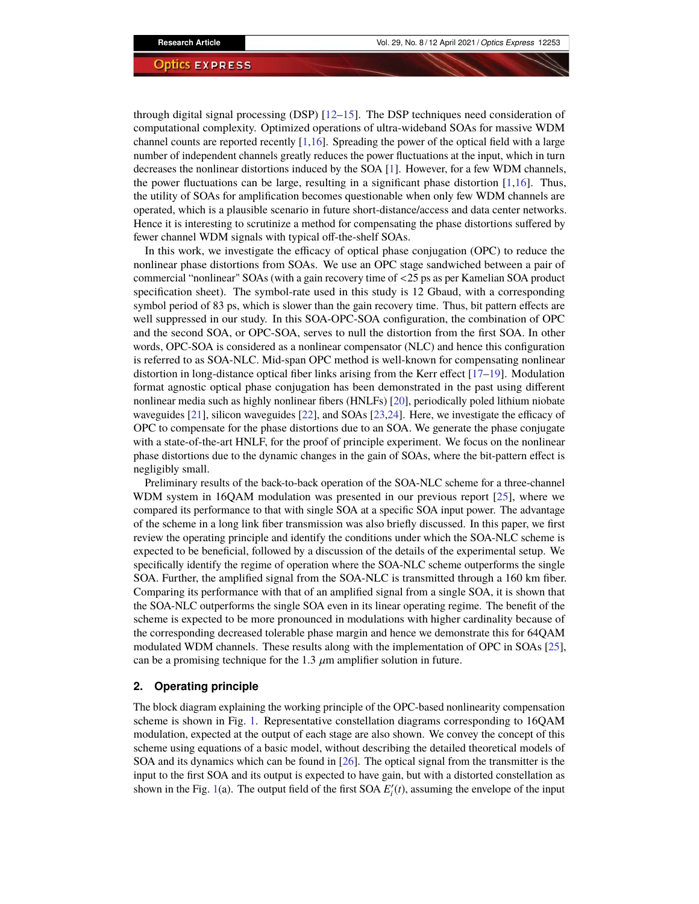through digital signal processing (DSP)  $[12–15]$  $[12–15]$ . The DSP techniques need consideration of computational complexity. Optimized operations of ultra-wideband SOAs for massive WDM channel counts are reported recently [\[1](#page-12-0)[,16\]](#page-13-0). Spreading the power of the optical field with a large number of independent channels greatly reduces the power fluctuations at the input, which in turn decreases the nonlinear distortions induced by the SOA [\[1\]](#page-12-0). However, for a few WDM channels, the power fluctuations can be large, resulting in a significant phase distortion [\[1,](#page-12-0)[16\]](#page-13-0). Thus, the utility of SOAs for amplification becomes questionable when only few WDM channels are operated, which is a plausible scenario in future short-distance/access and data center networks. Hence it is interesting to scrutinize a method for compensating the phase distortions suffered by fewer channel WDM signals with typical off-the-shelf SOAs.

In this work, we investigate the efficacy of optical phase conjugation (OPC) to reduce the nonlinear phase distortions from SOAs. We use an OPC stage sandwiched between a pair of commercial "nonlinear" SOAs (with a gain recovery time of <25 ps as per Kamelian SOA product specification sheet). The symbol-rate used in this study is 12 Gbaud, with a corresponding symbol period of 83 ps, which is slower than the gain recovery time. Thus, bit pattern effects are well suppressed in our study. In this SOA-OPC-SOA configuration, the combination of OPC and the second SOA, or OPC-SOA, serves to null the distortion from the first SOA. In other words, OPC-SOA is considered as a nonlinear compensator (NLC) and hence this configuration is referred to as SOA-NLC. Mid-span OPC method is well-known for compensating nonlinear distortion in long-distance optical fiber links arising from the Kerr effect [\[17–](#page-13-1)[19\]](#page-13-2). Modulation format agnostic optical phase conjugation has been demonstrated in the past using different nonlinear media such as highly nonlinear fibers (HNLFs) [\[20\]](#page-13-3), periodically poled lithium niobate waveguides [\[21\]](#page-13-4), silicon waveguides [\[22\]](#page-13-5), and SOAs [\[23,](#page-13-6)[24\]](#page-13-7). Here, we investigate the efficacy of OPC to compensate for the phase distortions due to an SOA. We generate the phase conjugate with a state-of-the-art HNLF, for the proof of principle experiment. We focus on the nonlinear phase distortions due to the dynamic changes in the gain of SOAs, where the bit-pattern effect is negligibly small.

Preliminary results of the back-to-back operation of the SOA-NLC scheme for a three-channel WDM system in 16QAM modulation was presented in our previous report [\[25\]](#page-13-8), where we compared its performance to that with single SOA at a specific SOA input power. The advantage of the scheme in a long link fiber transmission was also briefly discussed. In this paper, we first review the operating principle and identify the conditions under which the SOA-NLC scheme is expected to be beneficial, followed by a discussion of the details of the experimental setup. We specifically identify the regime of operation where the SOA-NLC scheme outperforms the single SOA. Further, the amplified signal from the SOA-NLC is transmitted through a 160 km fiber. Comparing its performance with that of an amplified signal from a single SOA, it is shown that the SOA-NLC outperforms the single SOA even in its linear operating regime. The benefit of the scheme is expected to be more pronounced in modulations with higher cardinality because of the corresponding decreased tolerable phase margin and hence we demonstrate this for 64QAM modulated WDM channels. These results along with the implementation of OPC in SOAs [\[25\]](#page-13-8), can be a promising technique for the 1.3  $\mu$ m amplifier solution in future.

#### <span id="page-1-0"></span>**2. Operating principle**

The block diagram explaining the working principle of the OPC-based nonlinearity compensation scheme is shown in Fig. [1.](#page-2-0) Representative constellation diagrams corresponding to 16QAM modulation, expected at the output of each stage are also shown. We convey the concept of this scheme using equations of a basic model, without describing the detailed theoretical models of SOA and its dynamics which can be found in [\[26\]](#page-13-9). The optical signal from the transmitter is the input to the first SOA and its output is expected to have gain, but with a distorted constellation as shown in the Fig. [1\(](#page-2-0)a). The output field of the first SOA  $E_i'(t)$ , assuming the envelope of the input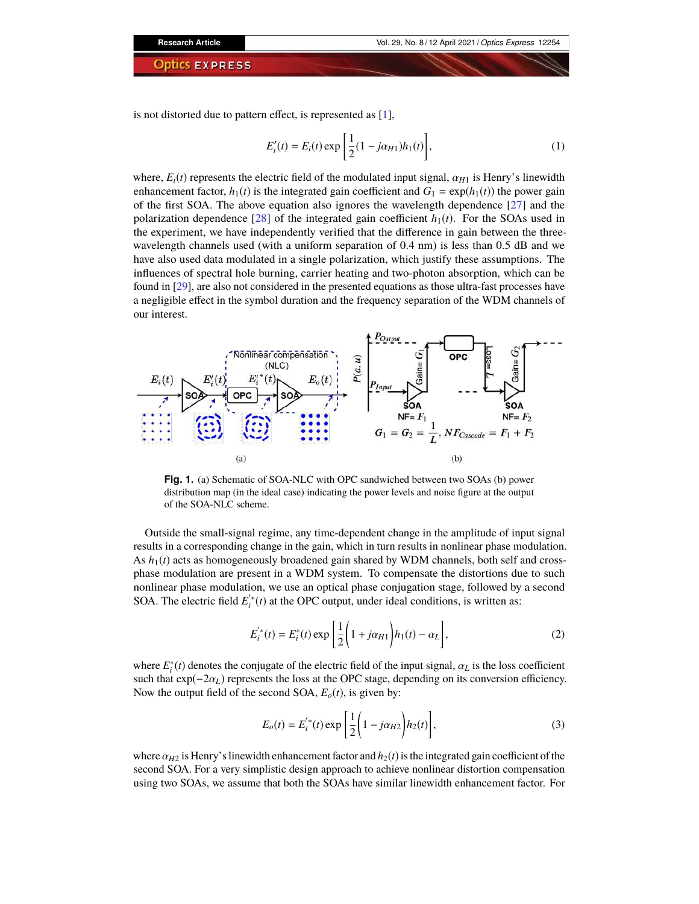is not distorted due to pattern effect, is represented as [\[1\]](#page-12-0),

$$
E'_{i}(t) = E_{i}(t) \exp\left[\frac{1}{2}(1 - j\alpha_{H1})h_{1}(t)\right],
$$
\n(1)

where,  $E_i(t)$  represents the electric field of the modulated input signal,  $\alpha_{H1}$  is Henry's linewidth enhancement factor,  $h_1(t)$  is the integrated gain coefficient and  $G_1 = \exp(h_1(t))$  the power gain of the first SOA. The above equation also ignores the wavelength dependence [\[27\]](#page-13-10) and the polarization dependence [\[28\]](#page-13-11) of the integrated gain coefficient  $h_1(t)$ . For the SOAs used in the experiment, we have independently verified that the difference in gain between the threewavelength channels used (with a uniform separation of 0.4 nm) is less than 0.5 dB and we have also used data modulated in a single polarization, which justify these assumptions. The influences of spectral hole burning, carrier heating and two-photon absorption, which can be found in [\[29\]](#page-13-12), are also not considered in the presented equations as those ultra-fast processes have a negligible effect in the symbol duration and the frequency separation of the WDM channels of our interest.



<span id="page-2-0"></span>**Fig. 1.** (a) Schematic of SOA-NLC with OPC sandwiched between two SOAs (b) power distribution map (in the ideal case) indicating the power levels and noise figure at the output of the SOA-NLC scheme.

Outside the small-signal regime, any time-dependent change in the amplitude of input signal results in a corresponding change in the gain, which in turn results in nonlinear phase modulation. As  $h_1(t)$  acts as homogeneously broadened gain shared by WDM channels, both self and crossphase modulation are present in a WDM system. To compensate the distortions due to such nonlinear phase modulation, we use an optical phase conjugation stage, followed by a second SOA. The electric field  $E_i^{'*}(t)$  at the OPC output, under ideal conditions, is written as:

$$
E_i^{'*}(t) = E_i^*(t) \exp\left[\frac{1}{2}\left(1 + j\alpha_{H1}\right)h_1(t) - \alpha_L\right],
$$
\n(2)

where  $E_i^*(t)$  denotes the conjugate of the electric field of the input signal,  $\alpha_L$  is the loss coefficient such that exp(−2α*L*) represents the loss at the OPC stage, depending on its conversion efficiency. Now the output field of the second SOA,  $E_o(t)$ , is given by:

$$
E_o(t) = E_i^{'*}(t) \exp\left[\frac{1}{2}\left(1 - j\alpha_{H2}\right)h_2(t)\right],
$$
\n(3)

where  $\alpha_{H2}$  is Henry's linewidth enhancement factor and  $h_2(t)$  is the integrated gain coefficient of the second SOA. For a very simplistic design approach to achieve nonlinear distortion compensation using two SOAs, we assume that both the SOAs have similar linewidth enhancement factor. For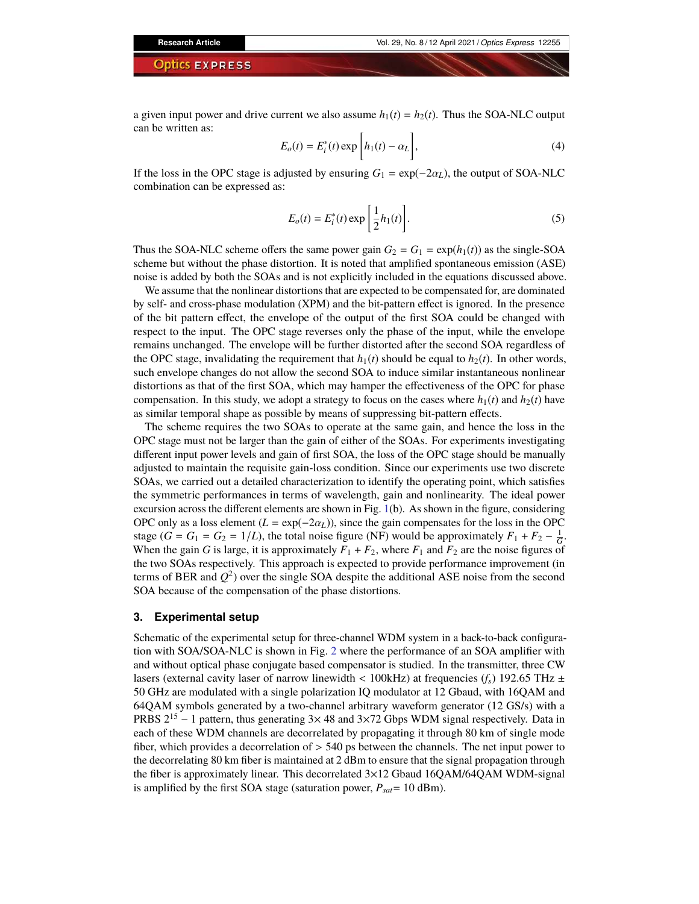a given input power and drive current we also assume  $h_1(t) = h_2(t)$ . Thus the SOA-NLC output can be written as:

$$
E_o(t) = E_i^*(t) \exp\left[h_1(t) - \alpha_L\right],\tag{4}
$$

If the loss in the OPC stage is adjusted by ensuring  $G_1 = \exp(-2\alpha_L)$ , the output of SOA-NLC combination can be expressed as:

$$
E_o(t) = E_i^*(t) \exp\left[\frac{1}{2}h_1(t)\right].
$$
 (5)

Thus the SOA-NLC scheme offers the same power gain  $G_2 = G_1 = \exp(h_1(t))$  as the single-SOA scheme but without the phase distortion. It is noted that amplified spontaneous emission (ASE) noise is added by both the SOAs and is not explicitly included in the equations discussed above.

We assume that the nonlinear distortions that are expected to be compensated for, are dominated by self- and cross-phase modulation (XPM) and the bit-pattern effect is ignored. In the presence of the bit pattern effect, the envelope of the output of the first SOA could be changed with respect to the input. The OPC stage reverses only the phase of the input, while the envelope remains unchanged. The envelope will be further distorted after the second SOA regardless of the OPC stage, invalidating the requirement that  $h_1(t)$  should be equal to  $h_2(t)$ . In other words, such envelope changes do not allow the second SOA to induce similar instantaneous nonlinear distortions as that of the first SOA, which may hamper the effectiveness of the OPC for phase compensation. In this study, we adopt a strategy to focus on the cases where  $h_1(t)$  and  $h_2(t)$  have as similar temporal shape as possible by means of suppressing bit-pattern effects.

The scheme requires the two SOAs to operate at the same gain, and hence the loss in the OPC stage must not be larger than the gain of either of the SOAs. For experiments investigating different input power levels and gain of first SOA, the loss of the OPC stage should be manually adjusted to maintain the requisite gain-loss condition. Since our experiments use two discrete SOAs, we carried out a detailed characterization to identify the operating point, which satisfies the symmetric performances in terms of wavelength, gain and nonlinearity. The ideal power excursion across the different elements are shown in Fig. [1\(](#page-2-0)b). As shown in the figure, considering OPC only as a loss element  $(L = \exp(-2\alpha_L))$ , since the gain compensates for the loss in the OPC stage (*G* = *G*<sub>1</sub> = *G*<sub>2</sub> = 1/*L*), the total noise figure (NF) would be approximately  $F_1 + F_2 - \frac{1}{G}$ . When the gain *G* is large, it is approximately  $F_1 + F_2$ , where  $F_1$  and  $F_2$  are the noise figures of the two SOAs respectively. This approach is expected to provide performance improvement (in terms of BER and  $Q^2$ ) over the single SOA despite the additional ASE noise from the second SOA because of the compensation of the phase distortions.

#### **3. Experimental setup**

Schematic of the experimental setup for three-channel WDM system in a back-to-back configuration with SOA/SOA-NLC is shown in Fig. [2](#page-4-0) where the performance of an SOA amplifier with and without optical phase conjugate based compensator is studied. In the transmitter, three CW lasers (external cavity laser of narrow linewidth  $< 100kHz$ ) at frequencies ( $f_s$ ) 192.65 THz  $\pm$ 50 GHz are modulated with a single polarization IQ modulator at 12 Gbaud, with 16QAM and 64QAM symbols generated by a two-channel arbitrary waveform generator (12 GS/s) with a PRBS  $2^{15} - 1$  pattern, thus generating 3×48 and 3×72 Gbps WDM signal respectively. Data in each of these WDM channels are decorrelated by propagating it through 80 km of single mode fiber, which provides a decorrelation of > 540 ps between the channels. The net input power to the decorrelating 80 km fiber is maintained at 2 dBm to ensure that the signal propagation through the fiber is approximately linear. This decorrelated  $3\times12$  Gbaud 16QAM/64QAM WDM-signal is amplified by the first SOA stage (saturation power,  $P_{sat}$  = 10 dBm).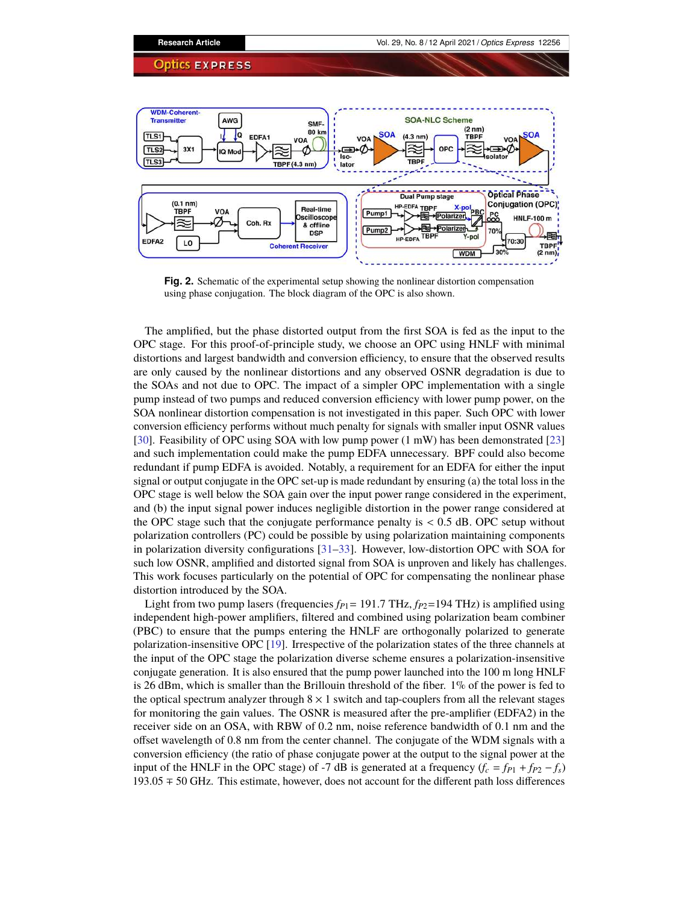

<span id="page-4-0"></span>**Fig. 2.** Schematic of the experimental setup showing the nonlinear distortion compensation using phase conjugation. The block diagram of the OPC is also shown.

The amplified, but the phase distorted output from the first SOA is fed as the input to the OPC stage. For this proof-of-principle study, we choose an OPC using HNLF with minimal distortions and largest bandwidth and conversion efficiency, to ensure that the observed results are only caused by the nonlinear distortions and any observed OSNR degradation is due to the SOAs and not due to OPC. The impact of a simpler OPC implementation with a single pump instead of two pumps and reduced conversion efficiency with lower pump power, on the SOA nonlinear distortion compensation is not investigated in this paper. Such OPC with lower conversion efficiency performs without much penalty for signals with smaller input OSNR values [\[30\]](#page-13-13). Feasibility of OPC using SOA with low pump power (1 mW) has been demonstrated [\[23\]](#page-13-6) and such implementation could make the pump EDFA unnecessary. BPF could also become redundant if pump EDFA is avoided. Notably, a requirement for an EDFA for either the input signal or output conjugate in the OPC set-up is made redundant by ensuring (a) the total loss in the OPC stage is well below the SOA gain over the input power range considered in the experiment, and (b) the input signal power induces negligible distortion in the power range considered at the OPC stage such that the conjugate performance penalty is  $< 0.5$  dB. OPC setup without polarization controllers (PC) could be possible by using polarization maintaining components in polarization diversity configurations [\[31–](#page-13-14)[33\]](#page-13-15). However, low-distortion OPC with SOA for such low OSNR, amplified and distorted signal from SOA is unproven and likely has challenges. This work focuses particularly on the potential of OPC for compensating the nonlinear phase distortion introduced by the SOA.

Light from two pump lasers (frequencies  $f_{P1}$  = 191.7 THz,  $f_{P2}$ =194 THz) is amplified using independent high-power amplifiers, filtered and combined using polarization beam combiner (PBC) to ensure that the pumps entering the HNLF are orthogonally polarized to generate polarization-insensitive OPC [\[19\]](#page-13-2). Irrespective of the polarization states of the three channels at the input of the OPC stage the polarization diverse scheme ensures a polarization-insensitive conjugate generation. It is also ensured that the pump power launched into the 100 m long HNLF is 26 dBm, which is smaller than the Brillouin threshold of the fiber.  $1\%$  of the power is fed to the optical spectrum analyzer through  $8 \times 1$  switch and tap-couplers from all the relevant stages for monitoring the gain values. The OSNR is measured after the pre-amplifier (EDFA2) in the receiver side on an OSA, with RBW of 0.2 nm, noise reference bandwidth of 0.1 nm and the offset wavelength of 0.8 nm from the center channel. The conjugate of the WDM signals with a conversion efficiency (the ratio of phase conjugate power at the output to the signal power at the input of the HNLF in the OPC stage) of -7 dB is generated at a frequency  $(f_c = f_{p1} + f_{p2} - f_s)$ 193.05 ∓ 50 GHz. This estimate, however, does not account for the different path loss differences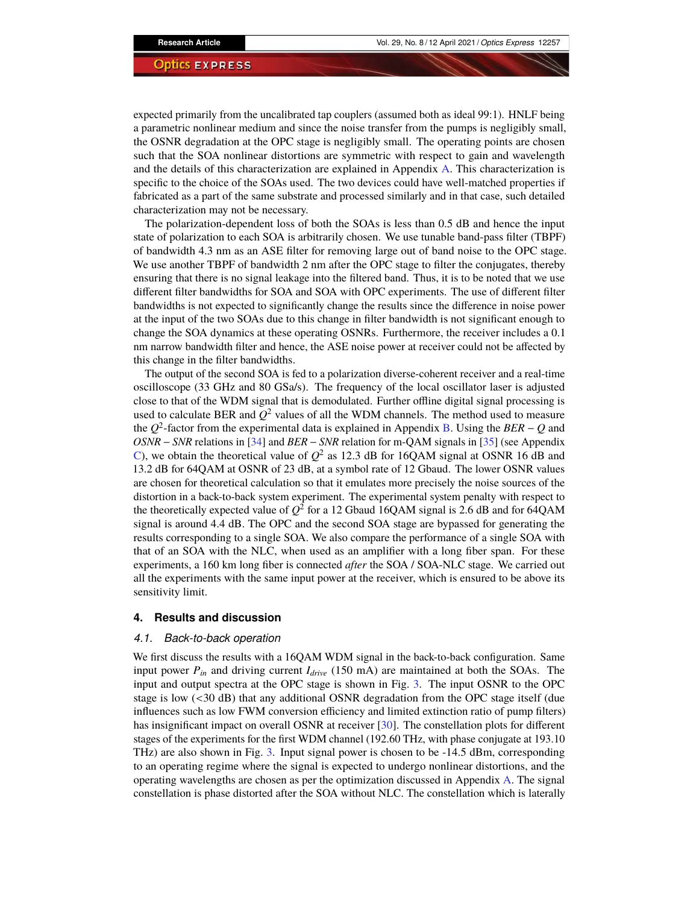expected primarily from the uncalibrated tap couplers (assumed both as ideal 99:1). HNLF being a parametric nonlinear medium and since the noise transfer from the pumps is negligibly small, the OSNR degradation at the OPC stage is negligibly small. The operating points are chosen such that the SOA nonlinear distortions are symmetric with respect to gain and wavelength and the details of this characterization are explained in Appendix [A.](#page-10-0) This characterization is specific to the choice of the SOAs used. The two devices could have well-matched properties if fabricated as a part of the same substrate and processed similarly and in that case, such detailed characterization may not be necessary.

The polarization-dependent loss of both the SOAs is less than 0.5 dB and hence the input state of polarization to each SOA is arbitrarily chosen. We use tunable band-pass filter (TBPF) of bandwidth 4.3 nm as an ASE filter for removing large out of band noise to the OPC stage. We use another TBPF of bandwidth 2 nm after the OPC stage to filter the conjugates, thereby ensuring that there is no signal leakage into the filtered band. Thus, it is to be noted that we use different filter bandwidths for SOA and SOA with OPC experiments. The use of different filter bandwidths is not expected to significantly change the results since the difference in noise power at the input of the two SOAs due to this change in filter bandwidth is not significant enough to change the SOA dynamics at these operating OSNRs. Furthermore, the receiver includes a 0.1 nm narrow bandwidth filter and hence, the ASE noise power at receiver could not be affected by this change in the filter bandwidths.

The output of the second SOA is fed to a polarization diverse-coherent receiver and a real-time oscilloscope (33 GHz and 80 GSa/s). The frequency of the local oscillator laser is adjusted close to that of the WDM signal that is demodulated. Further offline digital signal processing is used to calculate BER and  $Q^2$  values of all the WDM channels. The method used to measure the *Q* 2 -factor from the experimental data is explained in Appendix [B.](#page-11-0) Using the *BER* − *Q* and *OSNR* − *SNR* relations in [\[34\]](#page-13-16) and *BER* − *SNR* relation for m-QAM signals in [\[35\]](#page-13-17) (see Appendix [C\)](#page-11-1), we obtain the theoretical value of  $Q^2$  as 12.3 dB for 16QAM signal at OSNR 16 dB and 13.2 dB for 64QAM at OSNR of 23 dB, at a symbol rate of 12 Gbaud. The lower OSNR values are chosen for theoretical calculation so that it emulates more precisely the noise sources of the distortion in a back-to-back system experiment. The experimental system penalty with respect to the theoretically expected value of  $Q^2$  for a 12 Gbaud 16QAM signal is 2.6 dB and for 64QAM signal is around 4.4 dB. The OPC and the second SOA stage are bypassed for generating the results corresponding to a single SOA. We also compare the performance of a single SOA with that of an SOA with the NLC, when used as an amplifier with a long fiber span. For these experiments, a 160 km long fiber is connected *after* the SOA / SOA-NLC stage. We carried out all the experiments with the same input power at the receiver, which is ensured to be above its sensitivity limit.

#### **4. Results and discussion**

#### *4.1. Back-to-back operation*

We first discuss the results with a 16QAM WDM signal in the back-to-back configuration. Same input power  $P_{in}$  and driving current  $I_{drive}$  (150 mA) are maintained at both the SOAs. The input and output spectra at the OPC stage is shown in Fig. [3.](#page-6-0) The input OSNR to the OPC stage is low (<30 dB) that any additional OSNR degradation from the OPC stage itself (due influences such as low FWM conversion efficiency and limited extinction ratio of pump filters) has insignificant impact on overall OSNR at receiver [\[30\]](#page-13-13). The constellation plots for different stages of the experiments for the first WDM channel (192.60 THz, with phase conjugate at 193.10 THz) are also shown in Fig. [3.](#page-6-0) Input signal power is chosen to be -14.5 dBm, corresponding to an operating regime where the signal is expected to undergo nonlinear distortions, and the operating wavelengths are chosen as per the optimization discussed in Appendix [A.](#page-10-0) The signal constellation is phase distorted after the SOA without NLC. The constellation which is laterally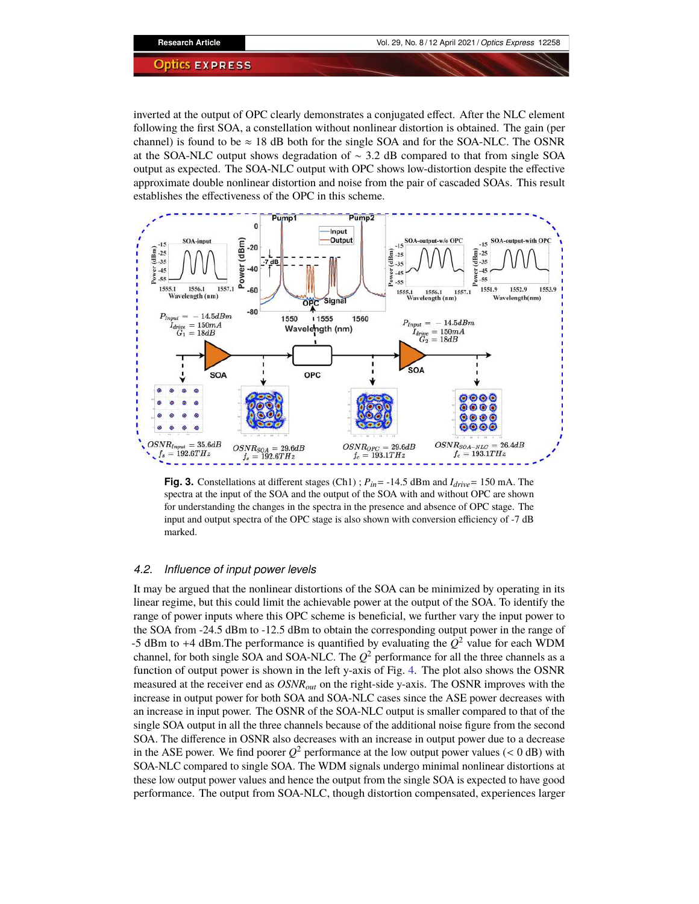inverted at the output of OPC clearly demonstrates a conjugated effect. After the NLC element following the first SOA, a constellation without nonlinear distortion is obtained. The gain (per channel) is found to be  $\approx$  18 dB both for the single SOA and for the SOA-NLC. The OSNR at the SOA-NLC output shows degradation of ∼ 3.2 dB compared to that from single SOA output as expected. The SOA-NLC output with OPC shows low-distortion despite the effective approximate double nonlinear distortion and noise from the pair of cascaded SOAs. This result establishes the effectiveness of the OPC in this scheme.



<span id="page-6-0"></span>**Fig. 3.** Constellations at different stages (Ch1) ; *Pin*= -14.5 dBm and *Idrive*= 150 mA. The spectra at the input of the SOA and the output of the SOA with and without OPC are shown for understanding the changes in the spectra in the presence and absence of OPC stage. The input and output spectra of the OPC stage is also shown with conversion efficiency of -7 dB marked.

#### *4.2. Influence of input power levels*

It may be argued that the nonlinear distortions of the SOA can be minimized by operating in its linear regime, but this could limit the achievable power at the output of the SOA. To identify the range of power inputs where this OPC scheme is beneficial, we further vary the input power to the SOA from -24.5 dBm to -12.5 dBm to obtain the corresponding output power in the range of -5 dBm to +4 dBm. The performance is quantified by evaluating the  $Q^2$  value for each WDM channel, for both single SOA and SOA-NLC. The  $Q^2$  performance for all the three channels as a function of output power is shown in the left y-axis of Fig. [4.](#page-7-0) The plot also shows the OSNR measured at the receiver end as *OSNRout* on the right-side y-axis. The OSNR improves with the increase in output power for both SOA and SOA-NLC cases since the ASE power decreases with an increase in input power. The OSNR of the SOA-NLC output is smaller compared to that of the single SOA output in all the three channels because of the additional noise figure from the second SOA. The difference in OSNR also decreases with an increase in output power due to a decrease in the ASE power. We find poorer  $Q^2$  performance at the low output power values (< 0 dB) with SOA-NLC compared to single SOA. The WDM signals undergo minimal nonlinear distortions at these low output power values and hence the output from the single SOA is expected to have good performance. The output from SOA-NLC, though distortion compensated, experiences larger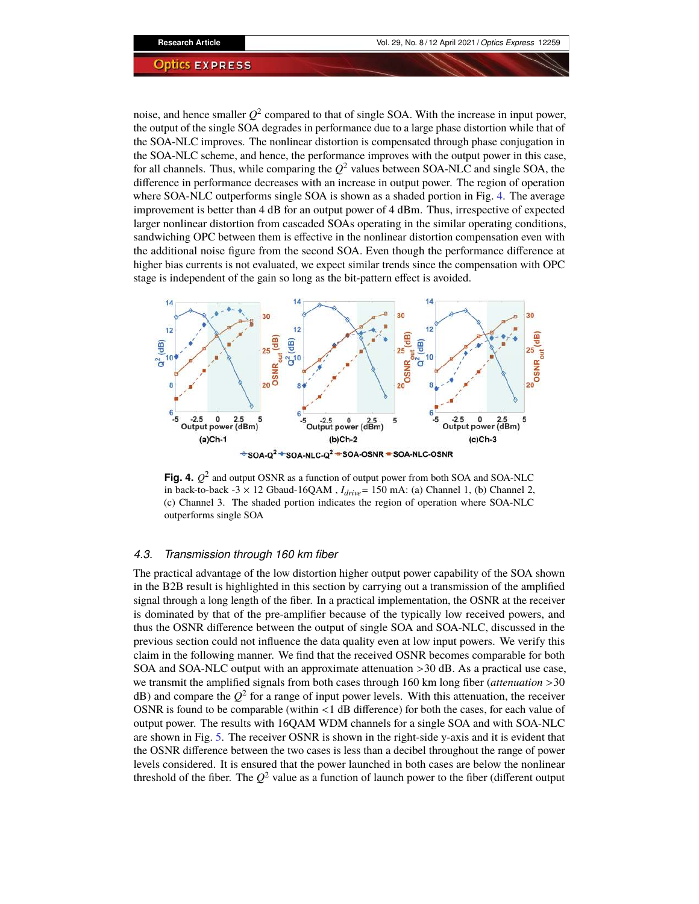noise, and hence smaller  $Q^2$  compared to that of single SOA. With the increase in input power, the output of the single SOA degrades in performance due to a large phase distortion while that of the SOA-NLC improves. The nonlinear distortion is compensated through phase conjugation in the SOA-NLC scheme, and hence, the performance improves with the output power in this case, for all channels. Thus, while comparing the  $Q^2$  values between SOA-NLC and single SOA, the difference in performance decreases with an increase in output power. The region of operation where SOA-NLC outperforms single SOA is shown as a shaded portion in Fig. [4.](#page-7-0) The average improvement is better than 4 dB for an output power of 4 dBm. Thus, irrespective of expected larger nonlinear distortion from cascaded SOAs operating in the similar operating conditions, sandwiching OPC between them is effective in the nonlinear distortion compensation even with the additional noise figure from the second SOA. Even though the performance difference at higher bias currents is not evaluated, we expect similar trends since the compensation with OPC stage is independent of the gain so long as the bit-pattern effect is avoided.



<span id="page-7-0"></span>**Fig. 4.**  $Q^2$  and output OSNR as a function of output power from both SOA and SOA-NLC in back-to-back -3  $\times$  12 Gbaud-16QAM,  $I_{drive}$ = 150 mA: (a) Channel 1, (b) Channel 2, (c) Channel 3. The shaded portion indicates the region of operation where SOA-NLC outperforms single SOA

#### *4.3. Transmission through 160 km fiber*

The practical advantage of the low distortion higher output power capability of the SOA shown in the B2B result is highlighted in this section by carrying out a transmission of the amplified signal through a long length of the fiber. In a practical implementation, the OSNR at the receiver is dominated by that of the pre-amplifier because of the typically low received powers, and thus the OSNR difference between the output of single SOA and SOA-NLC, discussed in the previous section could not influence the data quality even at low input powers. We verify this claim in the following manner. We find that the received OSNR becomes comparable for both SOA and SOA-NLC output with an approximate attenuation >30 dB. As a practical use case, we transmit the amplified signals from both cases through 160 km long fiber (*attenuation* >30  $dB$ ) and compare the  $Q^2$  for a range of input power levels. With this attenuation, the receiver OSNR is found to be comparable (within <1 dB difference) for both the cases, for each value of output power. The results with 16QAM WDM channels for a single SOA and with SOA-NLC are shown in Fig. [5.](#page-8-0) The receiver OSNR is shown in the right-side y-axis and it is evident that the OSNR difference between the two cases is less than a decibel throughout the range of power levels considered. It is ensured that the power launched in both cases are below the nonlinear threshold of the fiber. The  $Q^2$  value as a function of launch power to the fiber (different output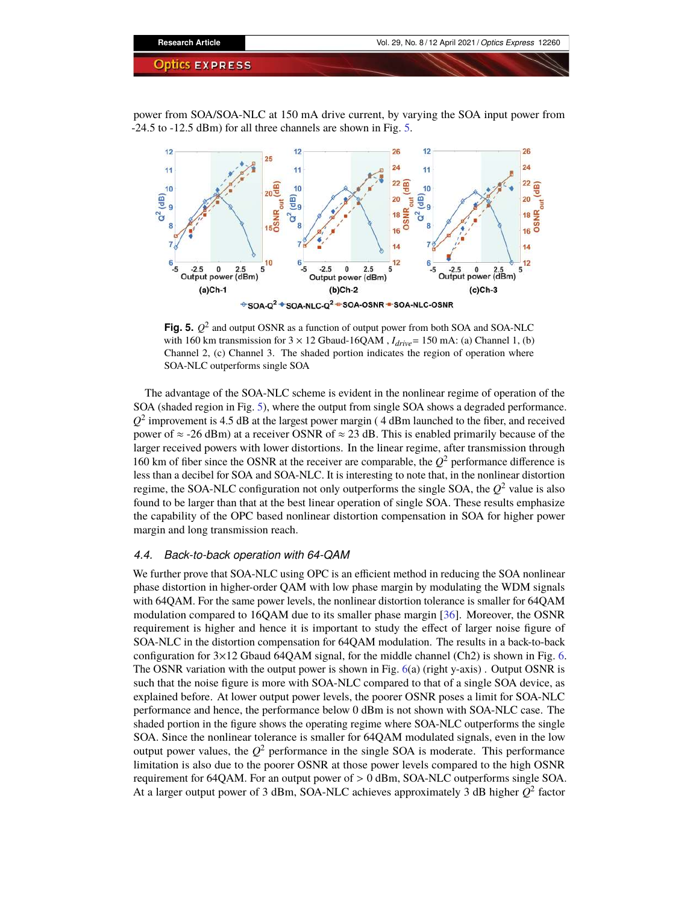power from SOA/SOA-NLC at 150 mA drive current, by varying the SOA input power from -24.5 to -12.5 dBm) for all three channels are shown in Fig. [5.](#page-8-0)



<span id="page-8-0"></span>**Fig. 5.**  $Q^2$  and output OSNR as a function of output power from both SOA and SOA-NLC with 160 km transmission for 3 <sup>×</sup> 12 Gbaud-16QAM , *<sup>I</sup>drive*<sup>=</sup> 150 mA: (a) Channel 1, (b) Channel 2, (c) Channel 3. The shaded portion indicates the region of operation where SOA-NLC outperforms single SOA

The advantage of the SOA-NLC scheme is evident in the nonlinear regime of operation of the SOA (shaded region in Fig. [5\)](#page-8-0), where the output from single SOA shows a degraded performance.  $Q^2$  improvement is 4.5 dB at the largest power margin (4 dBm launched to the fiber, and received power of  $\approx$  -26 dBm) at a receiver OSNR of  $\approx$  23 dB. This is enabled primarily because of the larger received powers with lower distortions. In the linear regime, after transmission through 160 km of fiber since the OSNR at the receiver are comparable, the  $Q^2$  performance difference is less than a decibel for SOA and SOA-NLC. It is interesting to note that, in the nonlinear distortion regime, the SOA-NLC configuration not only outperforms the single SOA, the  $Q^2$  value is also found to be larger than that at the best linear operation of single SOA. These results emphasize the capability of the OPC based nonlinear distortion compensation in SOA for higher power margin and long transmission reach.

#### *4.4. Back-to-back operation with 64-QAM*

We further prove that SOA-NLC using OPC is an efficient method in reducing the SOA nonlinear phase distortion in higher-order QAM with low phase margin by modulating the WDM signals with 64QAM. For the same power levels, the nonlinear distortion tolerance is smaller for 64QAM modulation compared to 16QAM due to its smaller phase margin [\[36\]](#page-13-18). Moreover, the OSNR requirement is higher and hence it is important to study the effect of larger noise figure of SOA-NLC in the distortion compensation for 64QAM modulation. The results in a back-to-back configuration for  $3\times12$  Gbaud 64QAM signal, for the middle channel (Ch2) is shown in Fig. [6.](#page-9-0) The OSNR variation with the output power is shown in Fig.  $6(a)$  $6(a)$  (right y-axis). Output OSNR is such that the noise figure is more with SOA-NLC compared to that of a single SOA device, as explained before. At lower output power levels, the poorer OSNR poses a limit for SOA-NLC performance and hence, the performance below 0 dBm is not shown with SOA-NLC case. The shaded portion in the figure shows the operating regime where SOA-NLC outperforms the single SOA. Since the nonlinear tolerance is smaller for 64QAM modulated signals, even in the low output power values, the  $Q^2$  performance in the single SOA is moderate. This performance limitation is also due to the poorer OSNR at those power levels compared to the high OSNR requirement for 64QAM. For an output power of > 0 dBm, SOA-NLC outperforms single SOA. At a larger output power of 3 dBm, SOA-NLC achieves approximately 3 dB higher *Q* 2 factor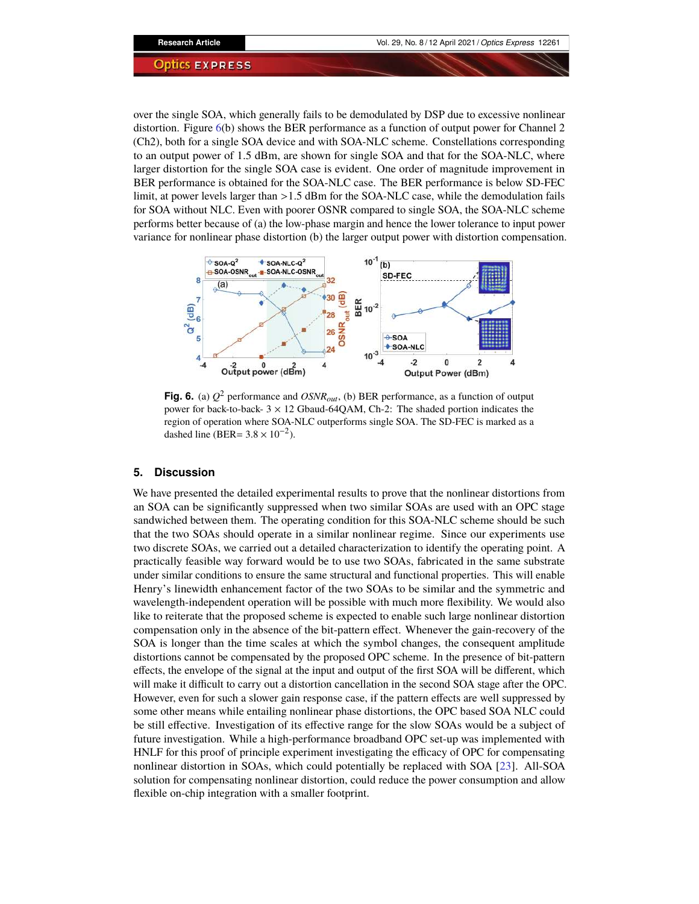over the single SOA, which generally fails to be demodulated by DSP due to excessive nonlinear distortion. Figure [6\(](#page-9-0)b) shows the BER performance as a function of output power for Channel 2 (Ch2), both for a single SOA device and with SOA-NLC scheme. Constellations corresponding to an output power of 1.5 dBm, are shown for single SOA and that for the SOA-NLC, where larger distortion for the single SOA case is evident. One order of magnitude improvement in BER performance is obtained for the SOA-NLC case. The BER performance is below SD-FEC limit, at power levels larger than >1.5 dBm for the SOA-NLC case, while the demodulation fails for SOA without NLC. Even with poorer OSNR compared to single SOA, the SOA-NLC scheme performs better because of (a) the low-phase margin and hence the lower tolerance to input power variance for nonlinear phase distortion (b) the larger output power with distortion compensation.



<span id="page-9-0"></span>**Fig. 6.** (a) *Q* <sup>2</sup> performance and *OSNRout*, (b) BER performance, as a function of output power for back-to-back-  $3 \times 12$  Gbaud-64QAM, Ch-2: The shaded portion indicates the region of operation where SOA-NLC outperforms single SOA. The SD-FEC is marked as a dashed line (BER=  $3.8 \times 10^{-2}$ ).

#### **5. Discussion**

We have presented the detailed experimental results to prove that the nonlinear distortions from an SOA can be significantly suppressed when two similar SOAs are used with an OPC stage sandwiched between them. The operating condition for this SOA-NLC scheme should be such that the two SOAs should operate in a similar nonlinear regime. Since our experiments use two discrete SOAs, we carried out a detailed characterization to identify the operating point. A practically feasible way forward would be to use two SOAs, fabricated in the same substrate under similar conditions to ensure the same structural and functional properties. This will enable Henry's linewidth enhancement factor of the two SOAs to be similar and the symmetric and wavelength-independent operation will be possible with much more flexibility. We would also like to reiterate that the proposed scheme is expected to enable such large nonlinear distortion compensation only in the absence of the bit-pattern effect. Whenever the gain-recovery of the SOA is longer than the time scales at which the symbol changes, the consequent amplitude distortions cannot be compensated by the proposed OPC scheme. In the presence of bit-pattern effects, the envelope of the signal at the input and output of the first SOA will be different, which will make it difficult to carry out a distortion cancellation in the second SOA stage after the OPC. However, even for such a slower gain response case, if the pattern effects are well suppressed by some other means while entailing nonlinear phase distortions, the OPC based SOA NLC could be still effective. Investigation of its effective range for the slow SOAs would be a subject of future investigation. While a high-performance broadband OPC set-up was implemented with HNLF for this proof of principle experiment investigating the efficacy of OPC for compensating nonlinear distortion in SOAs, which could potentially be replaced with SOA [\[23\]](#page-13-6). All-SOA solution for compensating nonlinear distortion, could reduce the power consumption and allow flexible on-chip integration with a smaller footprint.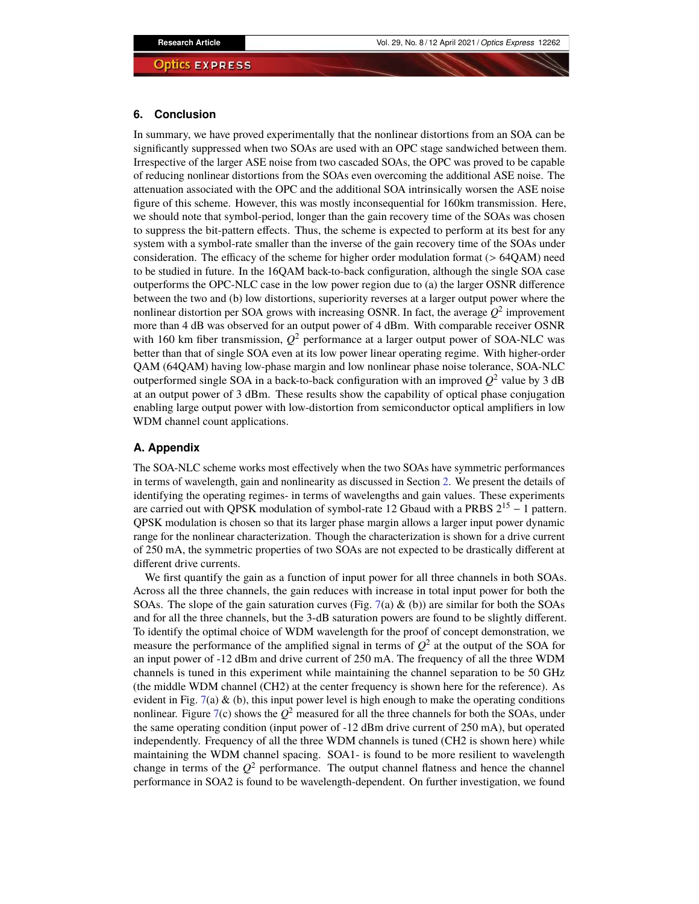#### **6. Conclusion**

In summary, we have proved experimentally that the nonlinear distortions from an SOA can be significantly suppressed when two SOAs are used with an OPC stage sandwiched between them. Irrespective of the larger ASE noise from two cascaded SOAs, the OPC was proved to be capable of reducing nonlinear distortions from the SOAs even overcoming the additional ASE noise. The attenuation associated with the OPC and the additional SOA intrinsically worsen the ASE noise figure of this scheme. However, this was mostly inconsequential for 160km transmission. Here, we should note that symbol-period, longer than the gain recovery time of the SOAs was chosen to suppress the bit-pattern effects. Thus, the scheme is expected to perform at its best for any system with a symbol-rate smaller than the inverse of the gain recovery time of the SOAs under consideration. The efficacy of the scheme for higher order modulation format (> 64QAM) need to be studied in future. In the 16QAM back-to-back configuration, although the single SOA case outperforms the OPC-NLC case in the low power region due to (a) the larger OSNR difference between the two and (b) low distortions, superiority reverses at a larger output power where the nonlinear distortion per SOA grows with increasing OSNR. In fact, the average  $Q^2$  improvement more than 4 dB was observed for an output power of 4 dBm. With comparable receiver OSNR with 160 km fiber transmission,  $Q^2$  performance at a larger output power of SOA-NLC was better than that of single SOA even at its low power linear operating regime. With higher-order QAM (64QAM) having low-phase margin and low nonlinear phase noise tolerance, SOA-NLC outperformed single SOA in a back-to-back configuration with an improved  $Q^2$  value by 3 dB at an output power of 3 dBm. These results show the capability of optical phase conjugation enabling large output power with low-distortion from semiconductor optical amplifiers in low WDM channel count applications.

### <span id="page-10-0"></span>**A. Appendix**

The SOA-NLC scheme works most effectively when the two SOAs have symmetric performances in terms of wavelength, gain and nonlinearity as discussed in Section [2.](#page-1-0) We present the details of identifying the operating regimes- in terms of wavelengths and gain values. These experiments are carried out with QPSK modulation of symbol-rate 12 Gbaud with a PRBS  $2^{15} - 1$  pattern. QPSK modulation is chosen so that its larger phase margin allows a larger input power dynamic range for the nonlinear characterization. Though the characterization is shown for a drive current of 250 mA, the symmetric properties of two SOAs are not expected to be drastically different at different drive currents.

We first quantify the gain as a function of input power for all three channels in both SOAs. Across all the three channels, the gain reduces with increase in total input power for both the SOAs. The slope of the gain saturation curves (Fig. [7\(](#page-11-2)a) & (b)) are similar for both the SOAs and for all the three channels, but the 3-dB saturation powers are found to be slightly different. To identify the optimal choice of WDM wavelength for the proof of concept demonstration, we measure the performance of the amplified signal in terms of  $Q^2$  at the output of the SOA for an input power of -12 dBm and drive current of 250 mA. The frequency of all the three WDM channels is tuned in this experiment while maintaining the channel separation to be 50 GHz (the middle WDM channel (CH2) at the center frequency is shown here for the reference). As evident in Fig. [7\(](#page-11-2)a)  $\&$  (b), this input power level is high enough to make the operating conditions nonlinear. Figure [7\(](#page-11-2)c) shows the  $Q^2$  measured for all the three channels for both the SOAs, under the same operating condition (input power of -12 dBm drive current of 250 mA), but operated independently. Frequency of all the three WDM channels is tuned (CH2 is shown here) while maintaining the WDM channel spacing. SOA1- is found to be more resilient to wavelength change in terms of the  $Q^2$  performance. The output channel flatness and hence the channel performance in SOA2 is found to be wavelength-dependent. On further investigation, we found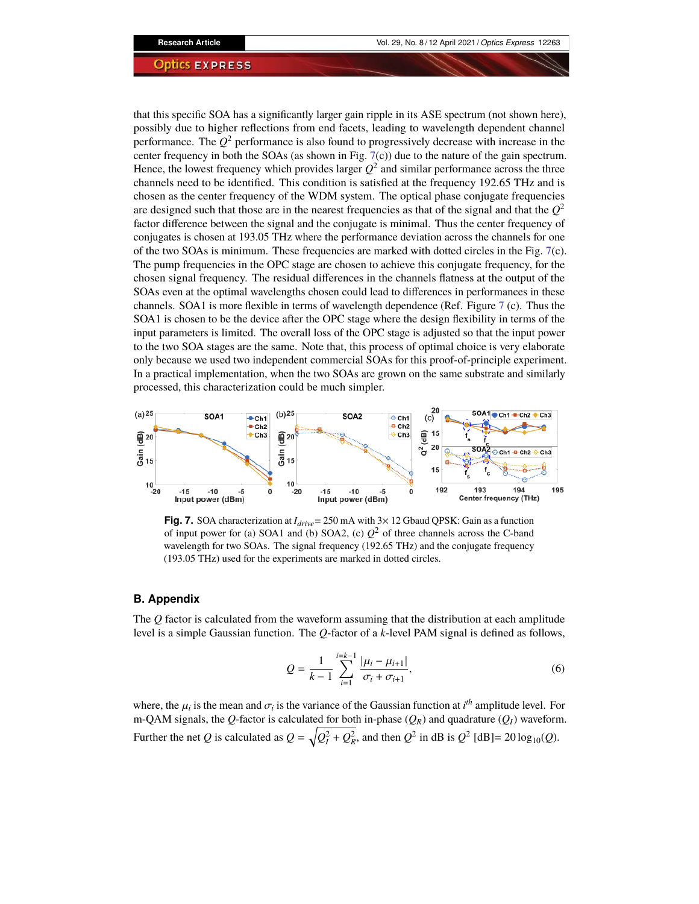that this specific SOA has a significantly larger gain ripple in its ASE spectrum (not shown here), possibly due to higher reflections from end facets, leading to wavelength dependent channel performance. The *Q* <sup>2</sup> performance is also found to progressively decrease with increase in the center frequency in both the SOAs (as shown in Fig.  $7(c)$  $7(c)$ ) due to the nature of the gain spectrum. Hence, the lowest frequency which provides larger  $Q^2$  and similar performance across the three channels need to be identified. This condition is satisfied at the frequency 192.65 THz and is chosen as the center frequency of the WDM system. The optical phase conjugate frequencies are designed such that those are in the nearest frequencies as that of the signal and that the  $Q^2$ factor difference between the signal and the conjugate is minimal. Thus the center frequency of conjugates is chosen at 193.05 THz where the performance deviation across the channels for one of the two SOAs is minimum. These frequencies are marked with dotted circles in the Fig. [7\(](#page-11-2)c). The pump frequencies in the OPC stage are chosen to achieve this conjugate frequency, for the chosen signal frequency. The residual differences in the channels flatness at the output of the SOAs even at the optimal wavelengths chosen could lead to differences in performances in these channels. SOA1 is more flexible in terms of wavelength dependence (Ref. Figure [7](#page-11-2) (c). Thus the SOA1 is chosen to be the device after the OPC stage where the design flexibility in terms of the input parameters is limited. The overall loss of the OPC stage is adjusted so that the input power to the two SOA stages are the same. Note that, this process of optimal choice is very elaborate only because we used two independent commercial SOAs for this proof-of-principle experiment. In a practical implementation, when the two SOAs are grown on the same substrate and similarly processed, this characterization could be much simpler.



<span id="page-11-2"></span>**Fig. 7.** SOA characterization at *<sup>I</sup>drive*<sup>=</sup> 250 mA with 3<sup>×</sup> 12 Gbaud QPSK: Gain as a function of input power for (a) SOA1 and (b) SOA2, (c)  $Q^2$  of three channels across the C-band wavelength for two SOAs. The signal frequency (192.65 THz) and the conjugate frequency (193.05 THz) used for the experiments are marked in dotted circles.

#### <span id="page-11-0"></span>**B. Appendix**

The *Q* factor is calculated from the waveform assuming that the distribution at each amplitude level is a simple Gaussian function. The *Q*-factor of a *k*-level PAM signal is defined as follows,

$$
Q = \frac{1}{k-1} \sum_{i=1}^{i=k-1} \frac{|\mu_i - \mu_{i+1}|}{\sigma_i + \sigma_{i+1}},
$$
\n(6)

<span id="page-11-1"></span>where, the  $\mu_i$  is the mean and  $\sigma_i$  is the variance of the Gaussian function at  $i^{th}$  amplitude level. For m-QAM signals, the *Q*-factor is calculated for both in-phase  $(Q_R)$  and quadrature  $(Q_I)$  waveform. Further the net *Q* is calculated as  $Q = \sqrt{Q_I^2 + Q_R^2}$ , and then  $Q^2$  in dB is  $Q^2$  [dB] = 20 log<sub>10</sub>(*Q*).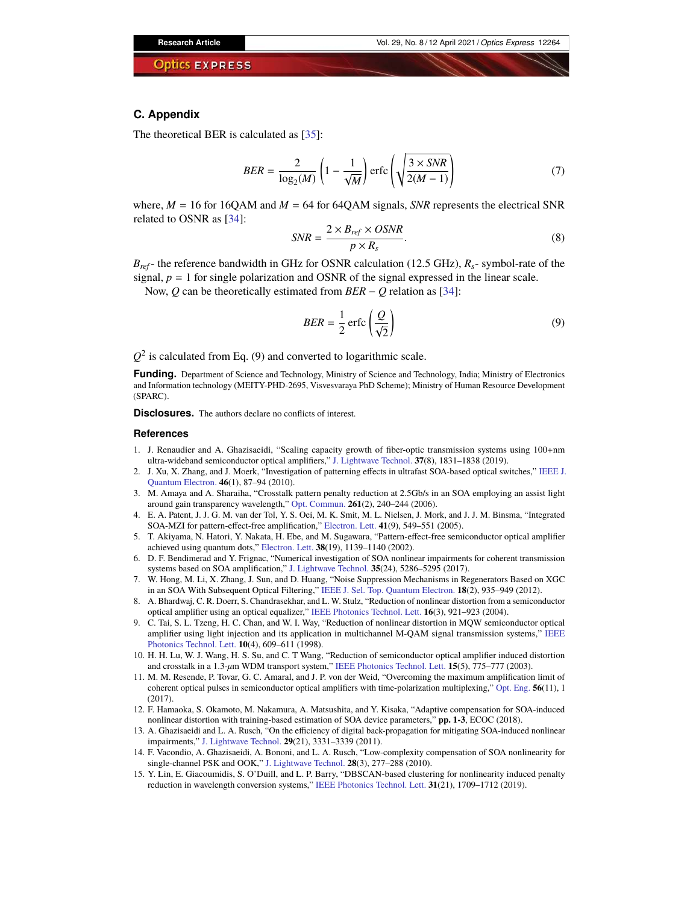### **C. Appendix**

The theoretical BER is calculated as [\[35\]](#page-13-17):

$$
BER = \frac{2}{\log_2(M)} \left( 1 - \frac{1}{\sqrt{M}} \right) \operatorname{erfc} \left( \sqrt{\frac{3 \times SNR}{2(M-1)}} \right) \tag{7}
$$

where,  $M = 16$  for 16QAM and  $M = 64$  for 64QAM signals, *SNR* represents the electrical SNR related to OSNR as [\[34\]](#page-13-16):

$$
SNR = \frac{2 \times B_{ref} \times OSNR}{p \times R_s}.
$$
\n(8)

 $B_{ref}$ - the reference bandwidth in GHz for OSNR calculation (12.5 GHz),  $R_s$ - symbol-rate of the signal,  $p = 1$  for single polarization and OSNR of the signal expressed in the linear scale.

Now, *Q* can be theoretically estimated from *BER* − *Q* relation as [\[34\]](#page-13-16):

$$
BER = \frac{1}{2} \operatorname{erfc} \left( \frac{Q}{\sqrt{2}} \right) \tag{9}
$$

 $Q^2$  is calculated from Eq. (9) and converted to logarithmic scale.

**Funding.** Department of Science and Technology, Ministry of Science and Technology, India; Ministry of Electronics and Information technology (MEITY-PHD-2695, Visvesvaraya PhD Scheme); Ministry of Human Resource Development (SPARC).

**Disclosures.** The authors declare no conflicts of interest.

#### **References**

- <span id="page-12-0"></span>1. J. Renaudier and A. Ghazisaeidi, "Scaling capacity growth of fiber-optic transmission systems using 100+nm ultra-wideband semiconductor optical amplifiers," [J. Lightwave Technol.](https://doi.org/10.1109/JLT.2019.2894579) **37**(8), 1831–1838 (2019).
- <span id="page-12-1"></span>2. J. Xu, X. Zhang, and J. Moerk, "Investigation of patterning effects in ultrafast SOA-based optical switches," [IEEE J.](https://doi.org/10.1109/JQE.2009.2027341) [Quantum Electron.](https://doi.org/10.1109/JQE.2009.2027341) **46**(1), 87–94 (2010).
- <span id="page-12-2"></span>3. M. Amaya and A. Sharaiha, "Crosstalk pattern penalty reduction at 2.5Gb/s in an SOA employing an assist light around gain transparency wavelength," [Opt. Commun.](https://doi.org/10.1016/j.optcom.2005.12.017) **261**(2), 240–244 (2006).
- <span id="page-12-3"></span>4. E. A. Patent, J. J. G. M. van der Tol, Y. S. Oei, M. K. Smit, M. L. Nielsen, J. Mork, and J. J. M. Binsma, "Integrated SOA-MZI for pattern-effect-free amplification," [Electron. Lett.](https://doi.org/10.1049/el:20050275) **41**(9), 549–551 (2005).
- <span id="page-12-4"></span>5. T. Akiyama, N. Hatori, Y. Nakata, H. Ebe, and M. Sugawara, "Pattern-effect-free semiconductor optical amplifier achieved using quantum dots," [Electron. Lett.](https://doi.org/10.1049/el:20020716) **38**(19), 1139–1140 (2002).
- <span id="page-12-5"></span>6. D. F. Bendimerad and Y. Frignac, "Numerical investigation of SOA nonlinear impairments for coherent transmission systems based on SOA amplification," [J. Lightwave Technol.](https://doi.org/10.1109/JLT.2017.2772223) **35**(24), 5286–5295 (2017).
- <span id="page-12-6"></span>7. W. Hong, M. Li, X. Zhang, J. Sun, and D. Huang, "Noise Suppression Mechanisms in Regenerators Based on XGC in an SOA With Subsequent Optical Filtering," [IEEE J. Sel. Top. Quantum Electron.](https://doi.org/10.1109/JSTQE.2011.2143697) **18**(2), 935–949 (2012).
- 8. A. Bhardwaj, C. R. Doerr, S. Chandrasekhar, and L. W. Stulz, "Reduction of nonlinear distortion from a semiconductor optical amplifier using an optical equalizer," [IEEE Photonics Technol. Lett.](https://doi.org/10.1109/LPT.2004.823747) **16**(3), 921–923 (2004).
- 9. C. Tai, S. L. Tzeng, H. C. Chan, and W. I. Way, "Reduction of nonlinear distortion in MQW semiconductor optical amplifier using light injection and its application in multichannel M-QAM signal transmission systems," [IEEE](https://doi.org/10.1109/68.662610) [Photonics Technol. Lett.](https://doi.org/10.1109/68.662610) **10**(4), 609–611 (1998).
- 10. H. H. Lu, W. J. Wang, H. S. Su, and C. T Wang, "Reduction of semiconductor optical amplifier induced distortion and crosstalk in a 1.3-*µ*m WDM transport system," [IEEE Photonics Technol. Lett.](https://doi.org/10.1109/LPT.2003.809946) **15**(5), 775–777 (2003).
- <span id="page-12-7"></span>11. M. M. Resende, P. Tovar, G. C. Amaral, and J. P. von der Weid, "Overcoming the maximum amplification limit of coherent optical pulses in semiconductor optical amplifiers with time-polarization multiplexing," [Opt. Eng.](https://doi.org/10.1117/1.OE.56.11.110502) **56**(11), 1  $(2017)$
- <span id="page-12-8"></span>12. F. Hamaoka, S. Okamoto, M. Nakamura, A. Matsushita, and Y. Kisaka, "Adaptive compensation for SOA-induced nonlinear distortion with training-based estimation of SOA device parameters," **pp. 1-3**, ECOC (2018).
- 13. A. Ghazisaeidi and L. A. Rusch, "On the efficiency of digital back-propagation for mitigating SOA-induced nonlinear impairments," [J. Lightwave Technol.](https://doi.org/10.1109/JLT.2011.2165938) **29**(21), 3331–3339 (2011).
- 14. F. Vacondio, A. Ghazisaeidi, A. Bononi, and L. A. Rusch, "Low-complexity compensation of SOA nonlinearity for single-channel PSK and OOK," [J. Lightwave Technol.](https://doi.org/10.1109/JLT.2009.2036868) **28**(3), 277–288 (2010).
- <span id="page-12-9"></span>15. Y. Lin, E. Giacoumidis, S. O'Duill, and L. P. Barry, "DBSCAN-based clustering for nonlinearity induced penalty reduction in wavelength conversion systems," [IEEE Photonics Technol. Lett.](https://doi.org/10.1109/LPT.2019.2942961) **31**(21), 1709–1712 (2019).